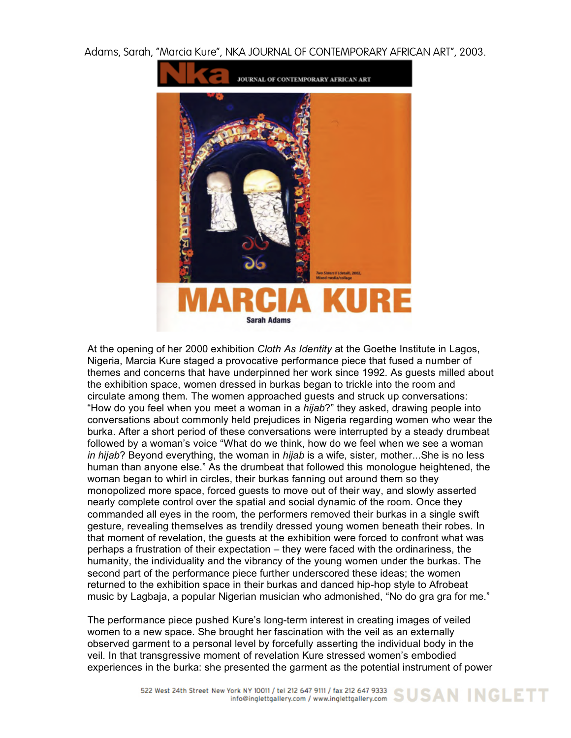Adams, Sarah, "Marcia Kure", NKA JOURNAL OF CONTEMPORARY AFRICAN ART", 2003.



At the opening of her 2000 exhibition *Cloth As Identity* at the Goethe Institute in Lagos, Nigeria, Marcia Kure staged a provocative performance piece that fused a number of themes and concerns that have underpinned her work since 1992. As guests milled about the exhibition space, women dressed in burkas began to trickle into the room and circulate among them. The women approached guests and struck up conversations: "How do you feel when you meet a woman in a *hijab*?" they asked, drawing people into conversations about commonly held prejudices in Nigeria regarding women who wear the burka. After a short period of these conversations were interrupted by a steady drumbeat followed by a woman's voice "What do we think, how do we feel when we see a woman *in hijab*? Beyond everything, the woman in *hijab* is a wife, sister, mother...She is no less human than anyone else." As the drumbeat that followed this monologue heightened, the woman began to whirl in circles, their burkas fanning out around them so they monopolized more space, forced guests to move out of their way, and slowly asserted nearly complete control over the spatial and social dynamic of the room. Once they commanded all eyes in the room, the performers removed their burkas in a single swift gesture, revealing themselves as trendily dressed young women beneath their robes. In that moment of revelation, the guests at the exhibition were forced to confront what was perhaps a frustration of their expectation – they were faced with the ordinariness, the humanity, the individuality and the vibrancy of the young women under the burkas. The second part of the performance piece further underscored these ideas; the women returned to the exhibition space in their burkas and danced hip-hop style to Afrobeat music by Lagbaja, a popular Nigerian musician who admonished, "No do gra gra for me."

The performance piece pushed Kure's long-term interest in creating images of veiled women to a new space. She brought her fascination with the veil as an externally observed garment to a personal level by forcefully asserting the individual body in the veil. In that transgressive moment of revelation Kure stressed women's embodied experiences in the burka: she presented the garment as the potential instrument of power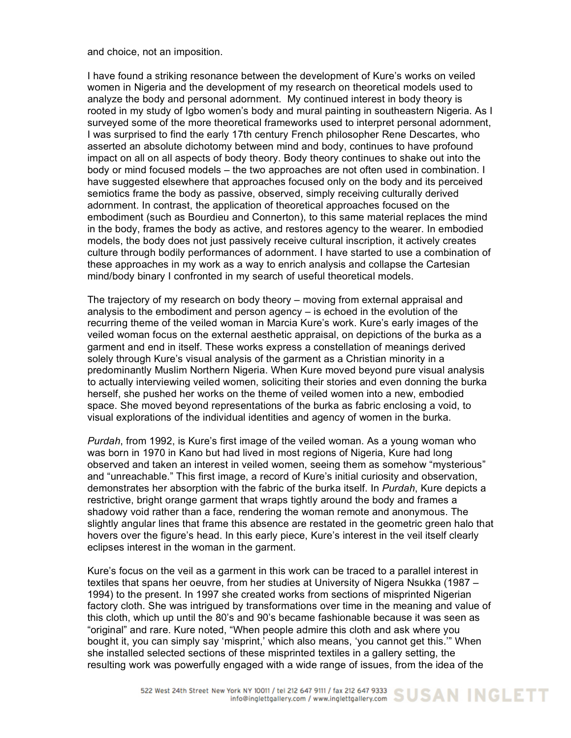and choice, not an imposition.

I have found a striking resonance between the development of Kure's works on veiled women in Nigeria and the development of my research on theoretical models used to analyze the body and personal adornment. My continued interest in body theory is rooted in my study of Igbo women's body and mural painting in southeastern Nigeria. As I surveyed some of the more theoretical frameworks used to interpret personal adornment, I was surprised to find the early 17th century French philosopher Rene Descartes, who asserted an absolute dichotomy between mind and body, continues to have profound impact on all on all aspects of body theory. Body theory continues to shake out into the body or mind focused models – the two approaches are not often used in combination. I have suggested elsewhere that approaches focused only on the body and its perceived semiotics frame the body as passive, observed, simply receiving culturally derived adornment. In contrast, the application of theoretical approaches focused on the embodiment (such as Bourdieu and Connerton), to this same material replaces the mind in the body, frames the body as active, and restores agency to the wearer. In embodied models, the body does not just passively receive cultural inscription, it actively creates culture through bodily performances of adornment. I have started to use a combination of these approaches in my work as a way to enrich analysis and collapse the Cartesian mind/body binary I confronted in my search of useful theoretical models.

The trajectory of my research on body theory – moving from external appraisal and analysis to the embodiment and person agency – is echoed in the evolution of the recurring theme of the veiled woman in Marcia Kure's work. Kure's early images of the veiled woman focus on the external aesthetic appraisal, on depictions of the burka as a garment and end in itself. These works express a constellation of meanings derived solely through Kure's visual analysis of the garment as a Christian minority in a predominantly Muslim Northern Nigeria. When Kure moved beyond pure visual analysis to actually interviewing veiled women, soliciting their stories and even donning the burka herself, she pushed her works on the theme of veiled women into a new, embodied space. She moved beyond representations of the burka as fabric enclosing a void, to visual explorations of the individual identities and agency of women in the burka.

*Purdah*, from 1992, is Kure's first image of the veiled woman. As a young woman who was born in 1970 in Kano but had lived in most regions of Nigeria, Kure had long observed and taken an interest in veiled women, seeing them as somehow "mysterious" and "unreachable." This first image, a record of Kure's initial curiosity and observation, demonstrates her absorption with the fabric of the burka itself. In *Purdah*, Kure depicts a restrictive, bright orange garment that wraps tightly around the body and frames a shadowy void rather than a face, rendering the woman remote and anonymous. The slightly angular lines that frame this absence are restated in the geometric green halo that hovers over the figure's head. In this early piece, Kure's interest in the veil itself clearly eclipses interest in the woman in the garment.

Kure's focus on the veil as a garment in this work can be traced to a parallel interest in textiles that spans her oeuvre, from her studies at University of Nigera Nsukka (1987 – 1994) to the present. In 1997 she created works from sections of misprinted Nigerian factory cloth. She was intrigued by transformations over time in the meaning and value of this cloth, which up until the 80's and 90's became fashionable because it was seen as "original" and rare. Kure noted, "When people admire this cloth and ask where you bought it, you can simply say 'misprint,' which also means, 'you cannot get this.'" When she installed selected sections of these misprinted textiles in a gallery setting, the resulting work was powerfully engaged with a wide range of issues, from the idea of the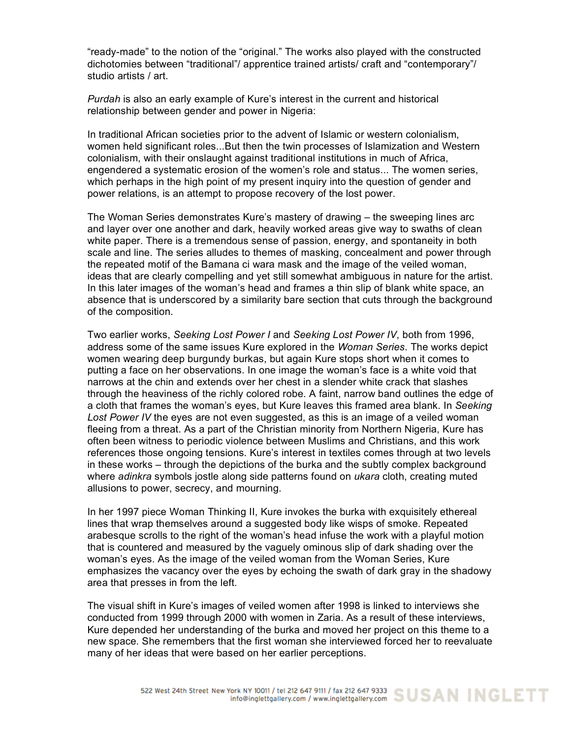"ready-made" to the notion of the "original." The works also played with the constructed dichotomies between "traditional"/ apprentice trained artists/ craft and "contemporary"/ studio artists / art.

*Purdah* is also an early example of Kure's interest in the current and historical relationship between gender and power in Nigeria:

In traditional African societies prior to the advent of Islamic or western colonialism, women held significant roles...But then the twin processes of Islamization and Western colonialism, with their onslaught against traditional institutions in much of Africa, engendered a systematic erosion of the women's role and status... The women series, which perhaps in the high point of my present inquiry into the question of gender and power relations, is an attempt to propose recovery of the lost power.

The Woman Series demonstrates Kure's mastery of drawing – the sweeping lines arc and layer over one another and dark, heavily worked areas give way to swaths of clean white paper. There is a tremendous sense of passion, energy, and spontaneity in both scale and line. The series alludes to themes of masking, concealment and power through the repeated motif of the Bamana ci wara mask and the image of the veiled woman, ideas that are clearly compelling and yet still somewhat ambiguous in nature for the artist. In this later images of the woman's head and frames a thin slip of blank white space, an absence that is underscored by a similarity bare section that cuts through the background of the composition.

Two earlier works, *Seeking Lost Power I* and *Seeking Lost Power IV*, both from 1996, address some of the same issues Kure explored in the *Woman Series*. The works depict women wearing deep burgundy burkas, but again Kure stops short when it comes to putting a face on her observations. In one image the woman's face is a white void that narrows at the chin and extends over her chest in a slender white crack that slashes through the heaviness of the richly colored robe. A faint, narrow band outlines the edge of a cloth that frames the woman's eyes, but Kure leaves this framed area blank. In *Seeking Lost Power IV* the eyes are not even suggested, as this is an image of a veiled woman fleeing from a threat. As a part of the Christian minority from Northern Nigeria, Kure has often been witness to periodic violence between Muslims and Christians, and this work references those ongoing tensions. Kure's interest in textiles comes through at two levels in these works – through the depictions of the burka and the subtly complex background where *adinkra* symbols jostle along side patterns found on *ukara* cloth, creating muted allusions to power, secrecy, and mourning.

In her 1997 piece Woman Thinking II, Kure invokes the burka with exquisitely ethereal lines that wrap themselves around a suggested body like wisps of smoke. Repeated arabesque scrolls to the right of the woman's head infuse the work with a playful motion that is countered and measured by the vaguely ominous slip of dark shading over the woman's eyes. As the image of the veiled woman from the Woman Series, Kure emphasizes the vacancy over the eyes by echoing the swath of dark gray in the shadowy area that presses in from the left.

The visual shift in Kure's images of veiled women after 1998 is linked to interviews she conducted from 1999 through 2000 with women in Zaria. As a result of these interviews, Kure depended her understanding of the burka and moved her project on this theme to a new space. She remembers that the first woman she interviewed forced her to reevaluate many of her ideas that were based on her earlier perceptions.